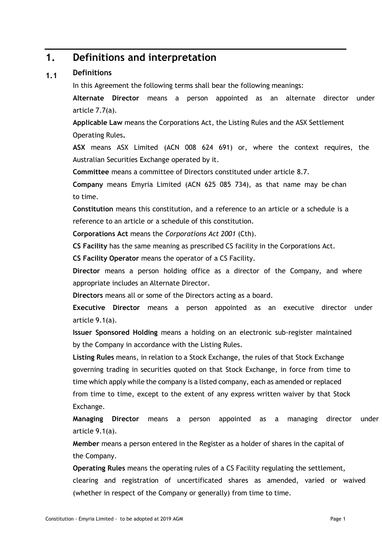#### **1. Definitions and interpretation**

#### **1.1 Definitions**

In this Agreement the following terms shall bear the following meanings:

**Alternate Director** means a person appointed as an alternate director under article [7.7\(a\).](#page-22-0)

**Applicable Law** means the Corporations Act, the Listing Rules and the ASX Settlement Operating Rules**.**

**ASX** means ASX Limited (ACN 008 624 691) or, where the context requires, the Australian Securities Exchange operated by it.

**Committee** means a committee of Directors constituted under article [8.7.](#page-26-0)

**Company** means Emyria Limited (ACN 625 085 734), as that name may be chan to time.

**Constitution** means this constitution, and a reference to an article or a schedule is a reference to an article or a schedule of this constitution.

**Corporations Act** means the *Corporations Act 2001* (Cth).

**CS Facility** has the same meaning as prescribed CS facility in the Corporations Act.

**CS Facility Operator** means the operator of a CS Facility.

**Director** means a person holding office as a director of the Company, and where appropriate includes an Alternate Director.

**Directors** means all or some of the Directors acting as a board.

**Executive Director** means a person appointed as an executive director under article [9.1\(a\).](#page-26-1)

**Issuer Sponsored Holding** means a holding on an electronic sub-register maintained by the Company in accordance with the Listing Rules.

**Listing Rules** means, in relation to a Stock Exchange, the rules of that Stock Exchange governing trading in securities quoted on that Stock Exchange, in force from time to time which apply while the company is a listed company, each as amended or replaced from time to time, except to the extent of any express written waiver by that Stock Exchange.

**Managing Director** means a person appointed as a managing director under article [9.1\(a\).](#page-26-1)

**Member** means a person entered in the Register as a holder of shares in the capital of the Company.

**Operating Rules** means the operating rules of a CS Facility regulating the settlement, clearing and registration of uncertificated shares as amended, varied or waived (whether in respect of the Company or generally) from time to time.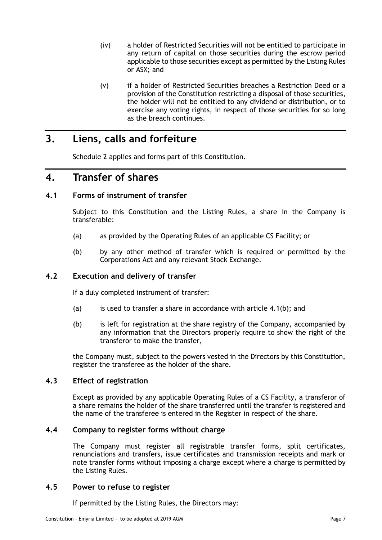- (iv) a holder of Restricted Securities will not be entitled to participate in any return of capital on those securities during the escrow period applicable to those securities except as permitted by the Listing Rules or ASX; and
- (v) if a holder of Restricted Securities breaches a Restriction Deed or a provision of the Constitution restricting a disposal of those securities, the holder will not be entitled to any dividend or distribution, or to exercise any voting rights, in respect of those securities for so long as the breach continues.

# **3. Liens, calls and forfeiture**

[Schedule](#page-42-0) 2 applies and forms part of this Constitution.

# **4. Transfer of shares**

# <span id="page-10-1"></span>**4.1 Forms of instrument of transfer**

Subject to this Constitution and the Listing Rules, a share in the Company is transferable:

- (a) as provided by the Operating Rules of an applicable CS Facility; or
- <span id="page-10-0"></span>(b) by any other method of transfer which is required or permitted by the Corporations Act and any relevant Stock Exchange.

# <span id="page-10-2"></span>**4.2 Execution and delivery of transfer**

If a duly completed instrument of transfer:

- (a) is used to transfer a share in accordance with article  $4.1(b)$ ; and
- (b) is left for registration at the share registry of the Company, accompanied by any information that the Directors properly require to show the right of the transferor to make the transfer,

the Company must, subject to the powers vested in the Directors by this Constitution, register the transferee as the holder of the share.

# <span id="page-10-3"></span>**4.3 Effect of registration**

Except as provided by any applicable Operating Rules of a CS Facility, a transferor of a share remains the holder of the share transferred until the transfer is registered and the name of the transferee is entered in the Register in respect of the share.

# **4.4 Company to register forms without charge**

The Company must register all registrable transfer forms, split certificates, renunciations and transfers, issue certificates and transmission receipts and mark or note transfer forms without imposing a charge except where a charge is permitted by the Listing Rules.

# **4.5 Power to refuse to register**

If permitted by the Listing Rules, the Directors may: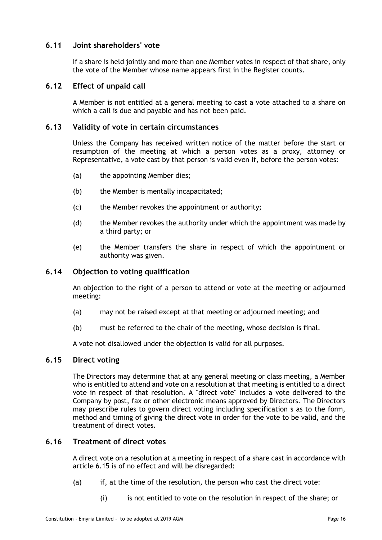# **6.11 Joint shareholders' vote**

If a share is held jointly and more than one Member votes in respect of that share, only the vote of the Member whose name appears first in the Register counts.

# **6.12 Effect of unpaid call**

A Member is not entitled at a general meeting to cast a vote attached to a share on which a call is due and payable and has not been paid.

# **6.13 Validity of vote in certain circumstances**

Unless the Company has received written notice of the matter before the start or resumption of the meeting at which a person votes as a proxy, attorney or Representative, a vote cast by that person is valid even if, before the person votes:

- (a) the appointing Member dies;
- (b) the Member is mentally incapacitated;
- (c) the Member revokes the appointment or authority;
- (d) the Member revokes the authority under which the appointment was made by a third party; or
- (e) the Member transfers the share in respect of which the appointment or authority was given.

## **6.14 Objection to voting qualification**

An objection to the right of a person to attend or vote at the meeting or adjourned meeting:

- (a) may not be raised except at that meeting or adjourned meeting; and
- (b) must be referred to the chair of the meeting, whose decision is final.

A vote not disallowed under the objection is valid for all purposes.

#### <span id="page-19-0"></span>**6.15 Direct voting**

The Directors may determine that at any general meeting or class meeting, a Member who is entitled to attend and vote on a resolution at that meeting is entitled to a direct vote in respect of that resolution. A "direct vote" includes a vote delivered to the Company by post, fax or other electronic means approved by Directors. The Directors may prescribe rules to govern direct voting including specification s as to the form, method and timing of giving the direct vote in order for the vote to be valid, and the treatment of direct votes.

## <span id="page-19-1"></span>**6.16 Treatment of direct votes**

A direct vote on a resolution at a meeting in respect of a share cast in accordance with article [6.15](#page-19-0) is of no effect and will be disregarded:

- (a) if, at the time of the resolution, the person who cast the direct vote:
	- (i) is not entitled to vote on the resolution in respect of the share; or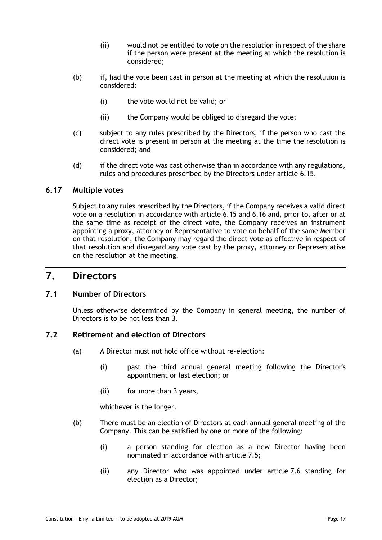- (ii) would not be entitled to vote on the resolution in respect of the share if the person were present at the meeting at which the resolution is considered;
- (b) if, had the vote been cast in person at the meeting at which the resolution is considered:
	- (i) the vote would not be valid; or
	- (ii) the Company would be obliged to disregard the vote;
- (c) subject to any rules prescribed by the Directors, if the person who cast the direct vote is present in person at the meeting at the time the resolution is considered; and
- (d) if the direct vote was cast otherwise than in accordance with any regulations, rules and procedures prescribed by the Directors under article [6.15.](#page-19-0)

# **6.17 Multiple votes**

Subject to any rules prescribed by the Directors, if the Company receives a valid direct vote on a resolution in accordance with article [6.15](#page-19-0) and [6.16](#page-19-1) and, prior to, after or at the same time as receipt of the direct vote, the Company receives an instrument appointing a proxy, attorney or Representative to vote on behalf of the same Member on that resolution, the Company may regard the direct vote as effective in respect of that resolution and disregard any vote cast by the proxy, attorney or Representative on the resolution at the meeting.

# **7. Directors**

# **7.1 Number of Directors**

Unless otherwise determined by the Company in general meeting, the number of Directors is to be not less than 3.

# <span id="page-20-3"></span><span id="page-20-0"></span>**7.2 Retirement and election of Directors**

- (a) A Director must not hold office without re-election:
	- (i) past the third annual general meeting following the Director's appointment or last election; or
	- (ii) for more than 3 years,

whichever is the longer.

- <span id="page-20-2"></span><span id="page-20-1"></span>(b) There must be an election of Directors at each annual general meeting of the Company. This can be satisfied by one or more of the following:
	- (i) a person standing for election as a new Director having been nominated in accordance with article [7.5;](#page-21-0)
	- (ii) any Director who was appointed under article [7.6](#page-21-1) standing for election as a Director;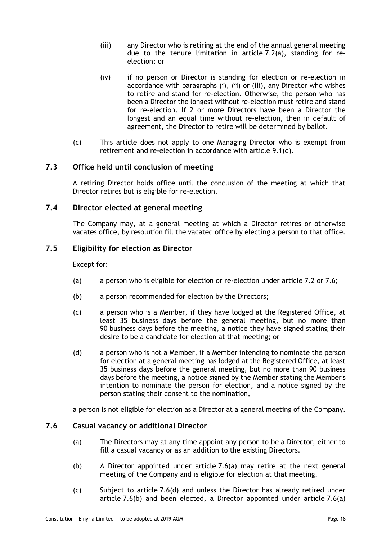- <span id="page-21-2"></span>(iii) any Director who is retiring at the end of the annual general meeting due to the tenure limitation in article [7.2\(a\),](#page-20-0) standing for reelection; or
- (iv) if no person or Director is standing for election or re-election in accordance with paragraphs [\(i\),](#page-20-1) [\(ii\)](#page-20-2) or [\(iii\),](#page-21-2) any Director who wishes to retire and stand for re-election. Otherwise, the person who has been a Director the longest without re-election must retire and stand for re-election. If 2 or more Directors have been a Director the longest and an equal time without re-election, then in default of agreement, the Director to retire will be determined by ballot.
- (c) This article does not apply to one Managing Director who is exempt from retirement and re-election in accordance with article [9.1\(d\).](#page-27-0)

# **7.3 Office held until conclusion of meeting**

A retiring Director holds office until the conclusion of the meeting at which that Director retires but is eligible for re-election.

# **7.4 Director elected at general meeting**

The Company may, at a general meeting at which a Director retires or otherwise vacates office, by resolution fill the vacated office by electing a person to that office.

# <span id="page-21-0"></span>**7.5 Eligibility for election as Director**

Except for:

- (a) a person who is eligible for election or re-election under article [7.2](#page-20-3) or [7.6;](#page-21-1)
- (b) a person recommended for election by the Directors;
- (c) a person who is a Member, if they have lodged at the Registered Office, at least 35 business days before the general meeting, but no more than 90 business days before the meeting, a notice they have signed stating their desire to be a candidate for election at that meeting; or
- (d) a person who is not a Member, if a Member intending to nominate the person for election at a general meeting has lodged at the Registered Office, at least 35 business days before the general meeting, but no more than 90 business days before the meeting, a notice signed by the Member stating the Member's intention to nominate the person for election, and a notice signed by the person stating their consent to the nomination,

a person is not eligible for election as a Director at a general meeting of the Company.

# <span id="page-21-3"></span><span id="page-21-1"></span>**7.6 Casual vacancy or additional Director**

- (a) The Directors may at any time appoint any person to be a Director, either to fill a casual vacancy or as an addition to the existing Directors.
- <span id="page-21-4"></span>(b) A Director appointed under article [7.6\(a\)](#page-21-3) may retire at the next general meeting of the Company and is eligible for election at that meeting.
- <span id="page-21-5"></span>(c) Subject to article [7.6\(d\)](#page-22-1) and unless the Director has already retired under article [7.6\(b\)](#page-21-4) and been elected, a Director appointed under article [7.6\(a\)](#page-21-3)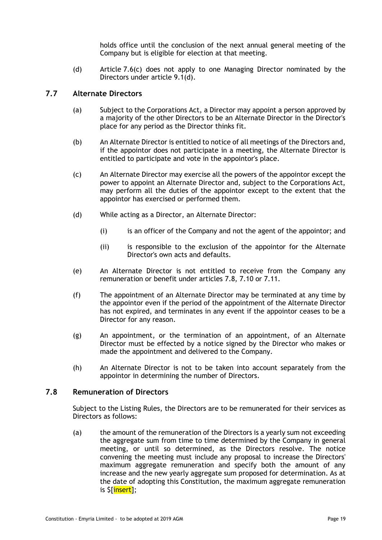holds office until the conclusion of the next annual general meeting of the Company but is eligible for election at that meeting.

<span id="page-22-1"></span>(d) Article [7.6\(c\)](#page-21-5) does not apply to one Managing Director nominated by the Directors under article [9.1\(d\).](#page-27-0)

# <span id="page-22-0"></span>**7.7 Alternate Directors**

- (a) Subject to the Corporations Act, a Director may appoint a person approved by a majority of the other Directors to be an Alternate Director in the Director's place for any period as the Director thinks fit.
- (b) An Alternate Director is entitled to notice of all meetings of the Directors and, if the appointor does not participate in a meeting, the Alternate Director is entitled to participate and vote in the appointor's place.
- (c) An Alternate Director may exercise all the powers of the appointor except the power to appoint an Alternate Director and, subject to the Corporations Act, may perform all the duties of the appointor except to the extent that the appointor has exercised or performed them.
- (d) While acting as a Director, an Alternate Director:
	- (i) is an officer of the Company and not the agent of the appointor; and
	- (ii) is responsible to the exclusion of the appointor for the Alternate Director's own acts and defaults.
- (e) An Alternate Director is not entitled to receive from the Company any remuneration or benefit under articles [7.8,](#page-22-2) [7.10](#page-23-0) or [7.11.](#page-23-1)
- (f) The appointment of an Alternate Director may be terminated at any time by the appointor even if the period of the appointment of the Alternate Director has not expired, and terminates in any event if the appointor ceases to be a Director for any reason.
- (g) An appointment, or the termination of an appointment, of an Alternate Director must be effected by a notice signed by the Director who makes or made the appointment and delivered to the Company.
- (h) An Alternate Director is not to be taken into account separately from the appointor in determining the number of Directors.

# <span id="page-22-2"></span>**7.8 Remuneration of Directors**

Subject to the Listing Rules, the Directors are to be remunerated for their services as Directors as follows:

<span id="page-22-3"></span>(a) the amount of the remuneration of the Directors is a yearly sum not exceeding the aggregate sum from time to time determined by the Company in general meeting, or until so determined, as the Directors resolve. The notice convening the meeting must include any proposal to increase the Directors' maximum aggregate remuneration and specify both the amount of any increase and the new yearly aggregate sum proposed for determination. As at the date of adopting this Constitution, the maximum aggregate remuneration is \$[insert];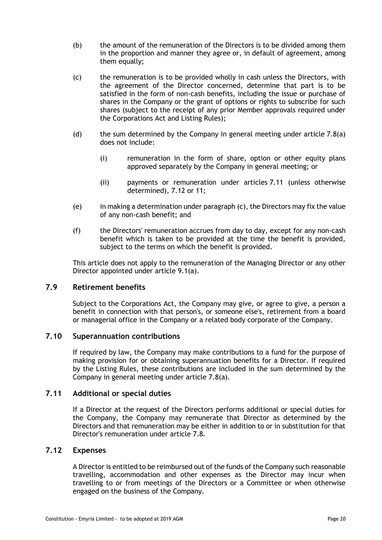- (b) the amount of the remuneration of the Directors is to be divided among them in the proportion and manner they agree or, in default of agreement, among them equally;
- <span id="page-23-3"></span>(c) the remuneration is to be provided wholly in cash unless the Directors, with the agreement of the Director concerned, determine that part is to be satisfied in the form of non-cash benefits, including the issue or purchase of shares in the Company or the grant of options or rights to subscribe for such shares (subject to the receipt of any prior Member approvals required under the Corporations Act and Listing Rules);
- (d) the sum determined by the Company in general meeting under article  $7.8(a)$ does not include:
	- (i) remuneration in the form of share, option or other equity plans approved separately by the Company in general meeting; or
	- (ii) payments or remuneration under articles [7.11](#page-23-1) (unless otherwise determined), [7.12](#page-23-2) or [11;](#page-30-0)
- (e) in making a determination under paragrap[h \(c\),](#page-23-3) the Directors may fix the value of any non-cash benefit; and
- (f) the Directors' remuneration accrues from day to day, except for any non-cash benefit which is taken to be provided at the time the benefit is provided, subject to the terms on which the benefit is provided.

This article does not apply to the remuneration of the Managing Director or any other Director appointed under article [9.1\(a\).](#page-26-1)

# **7.9 Retirement benefits**

Subject to the Corporations Act, the Company may give, or agree to give, a person a benefit in connection with that person's, or someone else's, retirement from a board or managerial office in the Company or a related body corporate of the Company.

# <span id="page-23-0"></span>**7.10 Superannuation contributions**

If required by law, the Company may make contributions to a fund for the purpose of making provision for or obtaining superannuation benefits for a Director. If required by the Listing Rules, these contributions are included in the sum determined by the Company in general meeting under article [7.8\(a\).](#page-22-3)

# <span id="page-23-1"></span>**7.11 Additional or special duties**

If a Director at the request of the Directors performs additional or special duties for the Company, the Company may remunerate that Director as determined by the Directors and that remuneration may be either in addition to or in substitution for that Director's remuneration under article [7.8.](#page-22-2)

## <span id="page-23-2"></span>**7.12 Expenses**

A Director is entitled to be reimbursed out of the funds of the Company such reasonable travelling, accommodation and other expenses as the Director may incur when travelling to or from meetings of the Directors or a Committee or when otherwise engaged on the business of the Company.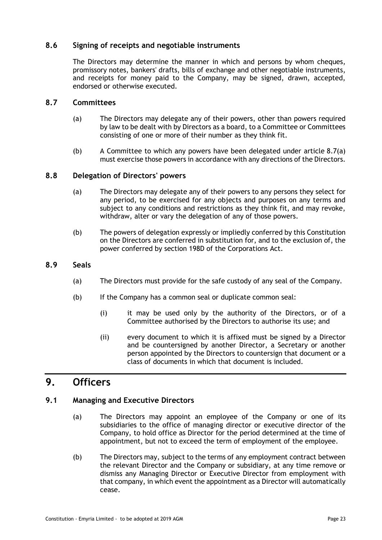# **8.6 Signing of receipts and negotiable instruments**

The Directors may determine the manner in which and persons by whom cheques, promissory notes, bankers' drafts, bills of exchange and other negotiable instruments, and receipts for money paid to the Company, may be signed, drawn, accepted, endorsed or otherwise executed.

# <span id="page-26-2"></span><span id="page-26-0"></span>**8.7 Committees**

- (a) The Directors may delegate any of their powers, other than powers required by law to be dealt with by Directors as a board, to a Committee or Committees consisting of one or more of their number as they think fit.
- (b) A Committee to which any powers have been delegated under article [8.7\(a\)](#page-26-2) must exercise those powers in accordance with any directions of the Directors.

# **8.8 Delegation of Directors' powers**

- (a) The Directors may delegate any of their powers to any persons they select for any period, to be exercised for any objects and purposes on any terms and subject to any conditions and restrictions as they think fit, and may revoke, withdraw, alter or vary the delegation of any of those powers.
- (b) The powers of delegation expressly or impliedly conferred by this Constitution on the Directors are conferred in substitution for, and to the exclusion of, the power conferred by section 198D of the Corporations Act.

# **8.9 Seals**

- (a) The Directors must provide for the safe custody of any seal of the Company.
- (b) If the Company has a common seal or duplicate common seal:
	- (i) it may be used only by the authority of the Directors, or of a Committee authorised by the Directors to authorise its use; and
	- (ii) every document to which it is affixed must be signed by a Director and be countersigned by another Director, a Secretary or another person appointed by the Directors to countersign that document or a class of documents in which that document is included.

# **9. Officers**

# <span id="page-26-1"></span>**9.1 Managing and Executive Directors**

- (a) The Directors may appoint an employee of the Company or one of its subsidiaries to the office of managing director or executive director of the Company, to hold office as Director for the period determined at the time of appointment, but not to exceed the term of employment of the employee.
- (b) The Directors may, subject to the terms of any employment contract between the relevant Director and the Company or subsidiary, at any time remove or dismiss any Managing Director or Executive Director from employment with that company, in which event the appointment as a Director will automatically cease.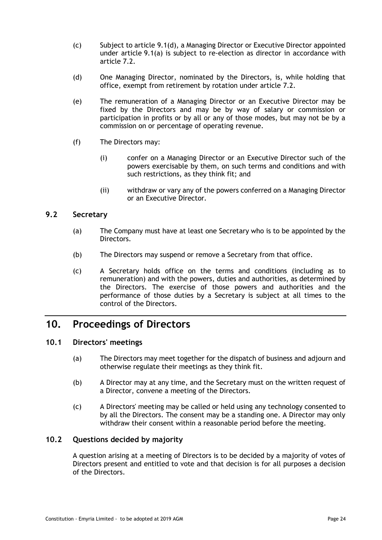- (c) Subject to article [9.1\(d\),](#page-27-0) a Managing Director or Executive Director appointed under article [9.1\(a\)](#page-26-1) is subject to re-election as director in accordance with article [7.2.](#page-20-3)
- <span id="page-27-0"></span>(d) One Managing Director, nominated by the Directors, is, while holding that office, exempt from retirement by rotation under article [7.2.](#page-20-3)
- (e) The remuneration of a Managing Director or an Executive Director may be fixed by the Directors and may be by way of salary or commission or participation in profits or by all or any of those modes, but may not be by a commission on or percentage of operating revenue.
- (f) The Directors may:
	- (i) confer on a Managing Director or an Executive Director such of the powers exercisable by them, on such terms and conditions and with such restrictions, as they think fit; and
	- (ii) withdraw or vary any of the powers conferred on a Managing Director or an Executive Director.

# **9.2 Secretary**

- (a) The Company must have at least one Secretary who is to be appointed by the Directors.
- (b) The Directors may suspend or remove a Secretary from that office.
- (c) A Secretary holds office on the terms and conditions (including as to remuneration) and with the powers, duties and authorities, as determined by the Directors. The exercise of those powers and authorities and the performance of those duties by a Secretary is subject at all times to the control of the Directors.

# **10. Proceedings of Directors**

# **10.1 Directors' meetings**

- (a) The Directors may meet together for the dispatch of business and adjourn and otherwise regulate their meetings as they think fit.
- (b) A Director may at any time, and the Secretary must on the written request of a Director, convene a meeting of the Directors.
- (c) A Directors' meeting may be called or held using any technology consented to by all the Directors. The consent may be a standing one. A Director may only withdraw their consent within a reasonable period before the meeting.

# **10.2 Questions decided by majority**

A question arising at a meeting of Directors is to be decided by a majority of votes of Directors present and entitled to vote and that decision is for all purposes a decision of the Directors.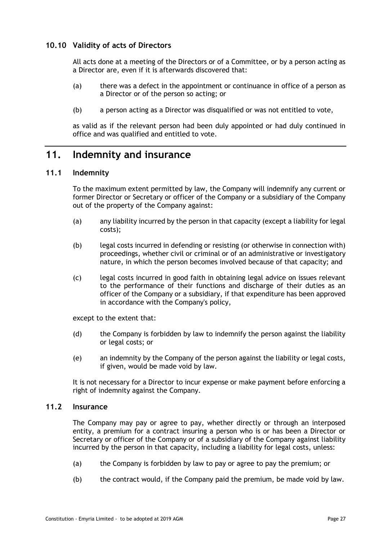# **10.10 Validity of acts of Directors**

All acts done at a meeting of the Directors or of a Committee, or by a person acting as a Director are, even if it is afterwards discovered that:

- (a) there was a defect in the appointment or continuance in office of a person as a Director or of the person so acting; or
- (b) a person acting as a Director was disqualified or was not entitled to vote,

as valid as if the relevant person had been duly appointed or had duly continued in office and was qualified and entitled to vote.

# <span id="page-30-0"></span>**11. Indemnity and insurance**

# **11.1 Indemnity**

To the maximum extent permitted by law, the Company will indemnify any current or former Director or Secretary or officer of the Company or a subsidiary of the Company out of the property of the Company against:

- (a) any liability incurred by the person in that capacity (except a liability for legal costs);
- (b) legal costs incurred in defending or resisting (or otherwise in connection with) proceedings, whether civil or criminal or of an administrative or investigatory nature, in which the person becomes involved because of that capacity; and
- (c) legal costs incurred in good faith in obtaining legal advice on issues relevant to the performance of their functions and discharge of their duties as an officer of the Company or a subsidiary, if that expenditure has been approved in accordance with the Company's policy,

except to the extent that:

- (d) the Company is forbidden by law to indemnify the person against the liability or legal costs; or
- (e) an indemnity by the Company of the person against the liability or legal costs, if given, would be made void by law.

It is not necessary for a Director to incur expense or make payment before enforcing a right of indemnity against the Company.

# **11.2 Insurance**

The Company may pay or agree to pay, whether directly or through an interposed entity, a premium for a contract insuring a person who is or has been a Director or Secretary or officer of the Company or of a subsidiary of the Company against liability incurred by the person in that capacity, including a liability for legal costs, unless:

- (a) the Company is forbidden by law to pay or agree to pay the premium; or
- (b) the contract would, if the Company paid the premium, be made void by law.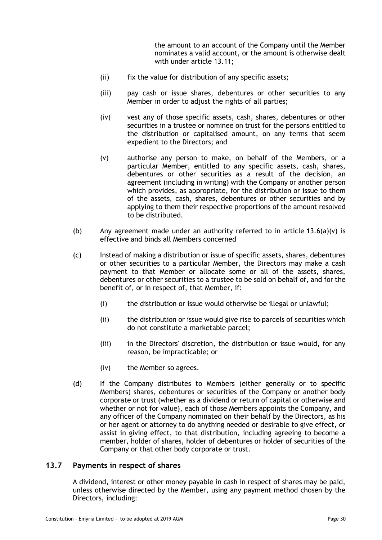the amount to an account of the Company until the Member nominates a valid account, or the amount is otherwise dealt with under article [13.11;](#page-34-0)

- (ii) fix the value for distribution of any specific assets;
- (iii) pay cash or issue shares, debentures or other securities to any Member in order to adjust the rights of all parties;
- (iv) vest any of those specific assets, cash, shares, debentures or other securities in a trustee or nominee on trust for the persons entitled to the distribution or capitalised amount, on any terms that seem expedient to the Directors; and
- <span id="page-33-0"></span>(v) authorise any person to make, on behalf of the Members, or a particular Member, entitled to any specific assets, cash, shares, debentures or other securities as a result of the decision, an agreement (including in writing) with the Company or another person which provides, as appropriate, for the distribution or issue to them of the assets, cash, shares, debentures or other securities and by applying to them their respective proportions of the amount resolved to be distributed.
- (b) Any agreement made under an authority referred to in article  $13.6(a)(v)$  is effective and binds all Members concerned
- (c) Instead of making a distribution or issue of specific assets, shares, debentures or other securities to a particular Member, the Directors may make a cash payment to that Member or allocate some or all of the assets, shares, debentures or other securities to a trustee to be sold on behalf of, and for the benefit of, or in respect of, that Member, if:
	- (i) the distribution or issue would otherwise be illegal or unlawful;
	- (ii) the distribution or issue would give rise to parcels of securities which do not constitute a marketable parcel;
	- (iii) in the Directors' discretion, the distribution or issue would, for any reason, be impracticable; or
	- (iv) the Member so agrees.
- (d) If the Company distributes to Members (either generally or to specific Members) shares, debentures or securities of the Company or another body corporate or trust (whether as a dividend or return of capital or otherwise and whether or not for value), each of those Members appoints the Company, and any officer of the Company nominated on their behalf by the Directors, as his or her agent or attorney to do anything needed or desirable to give effect, or assist in giving effect, to that distribution, including agreeing to become a member, holder of shares, holder of debentures or holder of securities of the Company or that other body corporate or trust.

### <span id="page-33-1"></span>**13.7 Payments in respect of shares**

A dividend, interest or other money payable in cash in respect of shares may be paid, unless otherwise directed by the Member, using any payment method chosen by the Directors, including: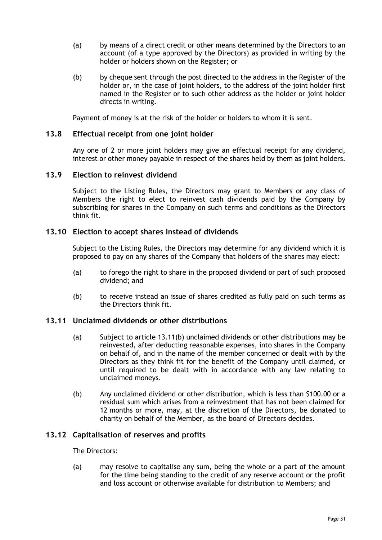- (a) by means of a direct credit or other means determined by the Directors to an account (of a type approved by the Directors) as provided in writing by the holder or holders shown on the Register; or
- (b) by cheque sent through the post directed to the address in the Register of the holder or, in the case of joint holders, to the address of the joint holder first named in the Register or to such other address as the holder or joint holder directs in writing.

Payment of money is at the risk of the holder or holders to whom it is sent.

### **13.8 Effectual receipt from one joint holder**

Any one of 2 or more joint holders may give an effectual receipt for any dividend, interest or other money payable in respect of the shares held by them as joint holders.

### **13.9 Election to reinvest dividend**

Subject to the Listing Rules, the Directors may grant to Members or any class of Members the right to elect to reinvest cash dividends paid by the Company by subscribing for shares in the Company on such terms and conditions as the Directors think fit.

### **13.10 Election to accept shares instead of dividends**

Subject to the Listing Rules, the Directors may determine for any dividend which it is proposed to pay on any shares of the Company that holders of the shares may elect:

- (a) to forego the right to share in the proposed dividend or part of such proposed dividend; and
- (b) to receive instead an issue of shares credited as fully paid on such terms as the Directors think fit.

#### <span id="page-34-0"></span>**13.11 Unclaimed dividends or other distributions**

- (a) Subject to article [13.11\(b\)](#page-34-1) unclaimed dividends or other distributions may be reinvested, after deducting reasonable expenses, into shares in the Company on behalf of, and in the name of the member concerned or dealt with by the Directors as they think fit for the benefit of the Company until claimed, or until required to be dealt with in accordance with any law relating to unclaimed moneys.
- <span id="page-34-1"></span>(b) Any unclaimed dividend or other distribution, which is less than \$100.00 or a residual sum which arises from a reinvestment that has not been claimed for 12 months or more, may, at the discretion of the Directors, be donated to charity on behalf of the Member, as the board of Directors decides.

# **13.12 Capitalisation of reserves and profits**

The Directors:

(a) may resolve to capitalise any sum, being the whole or a part of the amount for the time being standing to the credit of any reserve account or the profit and loss account or otherwise available for distribution to Members; and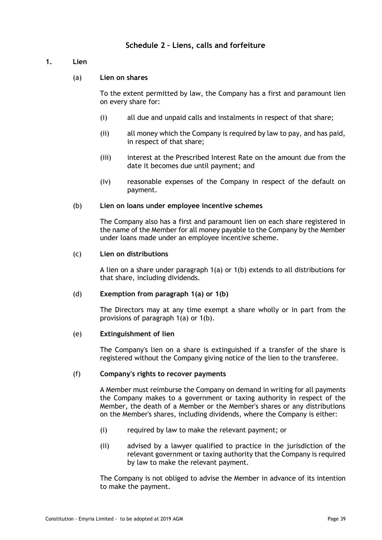# **Schedule 2 – Liens, calls and forfeiture**

# <span id="page-42-1"></span><span id="page-42-0"></span>**1. Lien**

# (a) **Lien on shares**

To the extent permitted by law, the Company has a first and paramount lien on every share for:

- (i) all due and unpaid calls and instalments in respect of that share;
- (ii) all money which the Company is required by law to pay, and has paid, in respect of that share;
- (iii) interest at the Prescribed Interest Rate on the amount due from the date it becomes due until payment; and
- (iv) reasonable expenses of the Company in respect of the default on payment.

### <span id="page-42-2"></span>(b) **Lien on loans under employee incentive schemes**

The Company also has a first and paramount lien on each share registered in the name of the Member for all money payable to the Company by the Member under loans made under an employee incentive scheme.

### (c) **Lien on distributions**

A lien on a share under paragraph [1\(a\)](#page-42-1) or [1\(b\)](#page-42-2) extends to all distributions for that share, including dividends.

# (d) **Exemption from paragraph [1\(a\)](#page-42-1) or [1\(b\)](#page-42-2)**

The Directors may at any time exempt a share wholly or in part from the provisions of paragraph [1\(a\)](#page-42-1) or [1\(b\).](#page-42-2)

#### (e) **Extinguishment of lien**

The Company's lien on a share is extinguished if a transfer of the share is registered without the Company giving notice of the lien to the transferee.

#### (f) **Company's rights to recover payments**

A Member must reimburse the Company on demand in writing for all payments the Company makes to a government or taxing authority in respect of the Member, the death of a Member or the Member's shares or any distributions on the Member's shares, including dividends, where the Company is either:

- (i) required by law to make the relevant payment; or
- (ii) advised by a lawyer qualified to practice in the jurisdiction of the relevant government or taxing authority that the Company is required by law to make the relevant payment.

The Company is not obliged to advise the Member in advance of its intention to make the payment.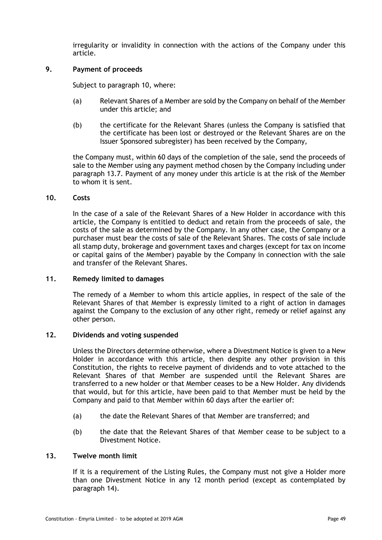irregularity or invalidity in connection with the actions of the Company under this article.

### **9. Payment of proceeds**

Subject to paragraph [10,](#page-52-0) where:

- (a) Relevant Shares of a Member are sold by the Company on behalf of the Member under this article; and
- (b) the certificate for the Relevant Shares (unless the Company is satisfied that the certificate has been lost or destroyed or the Relevant Shares are on the Issuer Sponsored subregister) has been received by the Company,

the Company must, within 60 days of the completion of the sale, send the proceeds of sale to the Member using any payment method chosen by the Company including under paragraph [13.7.](#page-33-1) Payment of any money under this article is at the risk of the Member to whom it is sent.

#### <span id="page-52-0"></span>**10. Costs**

In the case of a sale of the Relevant Shares of a New Holder in accordance with this article, the Company is entitled to deduct and retain from the proceeds of sale, the costs of the sale as determined by the Company. In any other case, the Company or a purchaser must bear the costs of sale of the Relevant Shares. The costs of sale include all stamp duty, brokerage and government taxes and charges (except for tax on income or capital gains of the Member) payable by the Company in connection with the sale and transfer of the Relevant Shares.

#### **11. Remedy limited to damages**

The remedy of a Member to whom this article applies, in respect of the sale of the Relevant Shares of that Member is expressly limited to a right of action in damages against the Company to the exclusion of any other right, remedy or relief against any other person.

#### **12. Dividends and voting suspended**

Unless the Directors determine otherwise, where a Divestment Notice is given to a New Holder in accordance with this article, then despite any other provision in this Constitution, the rights to receive payment of dividends and to vote attached to the Relevant Shares of that Member are suspended until the Relevant Shares are transferred to a new holder or that Member ceases to be a New Holder. Any dividends that would, but for this article, have been paid to that Member must be held by the Company and paid to that Member within 60 days after the earlier of:

- (a) the date the Relevant Shares of that Member are transferred; and
- (b) the date that the Relevant Shares of that Member cease to be subject to a Divestment Notice.

#### <span id="page-52-1"></span>**13. Twelve month limit**

If it is a requirement of the Listing Rules, the Company must not give a Holder more than one Divestment Notice in any 12 month period (except as contemplated by paragraph [14\)](#page-53-0).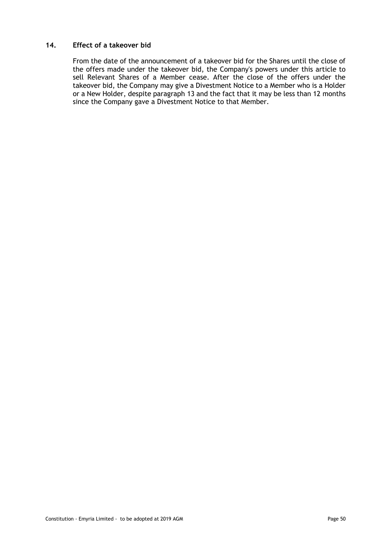# <span id="page-53-0"></span>**14. Effect of a takeover bid**

From the date of the announcement of a takeover bid for the Shares until the close of the offers made under the takeover bid, the Company's powers under this article to sell Relevant Shares of a Member cease. After the close of the offers under the takeover bid, the Company may give a Divestment Notice to a Member who is a Holder or a New Holder, despite paragraph [13](#page-52-1) and the fact that it may be less than 12 months since the Company gave a Divestment Notice to that Member.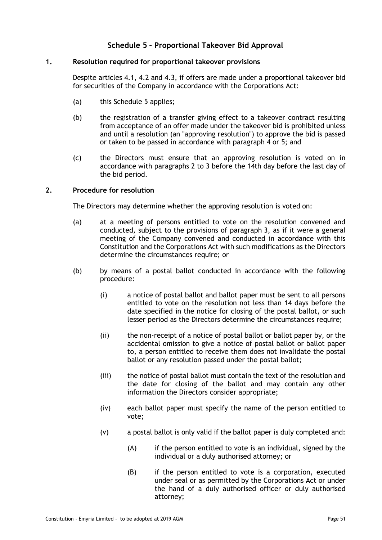# **Schedule 5 – Proportional Takeover Bid Approval**

# <span id="page-54-2"></span><span id="page-54-0"></span>**1. Resolution required for proportional takeover provisions**

Despite articles [4.1,](#page-10-1) [4.2](#page-10-2) and [4.3,](#page-10-3) if offers are made under a proportional takeover bid for securities of the Company in accordance with the Corporations Act:

- (a) this [Schedule](#page-54-0) 5 applies;
- (b) the registration of a transfer giving effect to a takeover contract resulting from acceptance of an offer made under the takeover bid is prohibited unless and until a resolution (an "approving resolution") to approve the bid is passed or taken to be passed in accordance with paragraph [4](#page-55-0) or [5;](#page-55-1) and
- (c) the Directors must ensure that an approving resolution is voted on in accordance with paragraphs [2](#page-54-1) to [3](#page-55-2) before the 14th day before the last day of the bid period.

### <span id="page-54-1"></span>**2. Procedure for resolution**

The Directors may determine whether the approving resolution is voted on:

- (a) at a meeting of persons entitled to vote on the resolution convened and conducted, subject to the provisions of paragraph [3,](#page-55-2) as if it were a general meeting of the Company convened and conducted in accordance with this Constitution and the Corporations Act with such modifications as the Directors determine the circumstances require; or
- (b) by means of a postal ballot conducted in accordance with the following procedure:
	- (i) a notice of postal ballot and ballot paper must be sent to all persons entitled to vote on the resolution not less than 14 days before the date specified in the notice for closing of the postal ballot, or such lesser period as the Directors determine the circumstances require;
	- (ii) the non-receipt of a notice of postal ballot or ballot paper by, or the accidental omission to give a notice of postal ballot or ballot paper to, a person entitled to receive them does not invalidate the postal ballot or any resolution passed under the postal ballot;
	- (iii) the notice of postal ballot must contain the text of the resolution and the date for closing of the ballot and may contain any other information the Directors consider appropriate;
	- (iv) each ballot paper must specify the name of the person entitled to vote;
	- (v) a postal ballot is only valid if the ballot paper is duly completed and:
		- (A) if the person entitled to vote is an individual, signed by the individual or a duly authorised attorney; or
		- (B) if the person entitled to vote is a corporation, executed under seal or as permitted by the Corporations Act or under the hand of a duly authorised officer or duly authorised attorney;